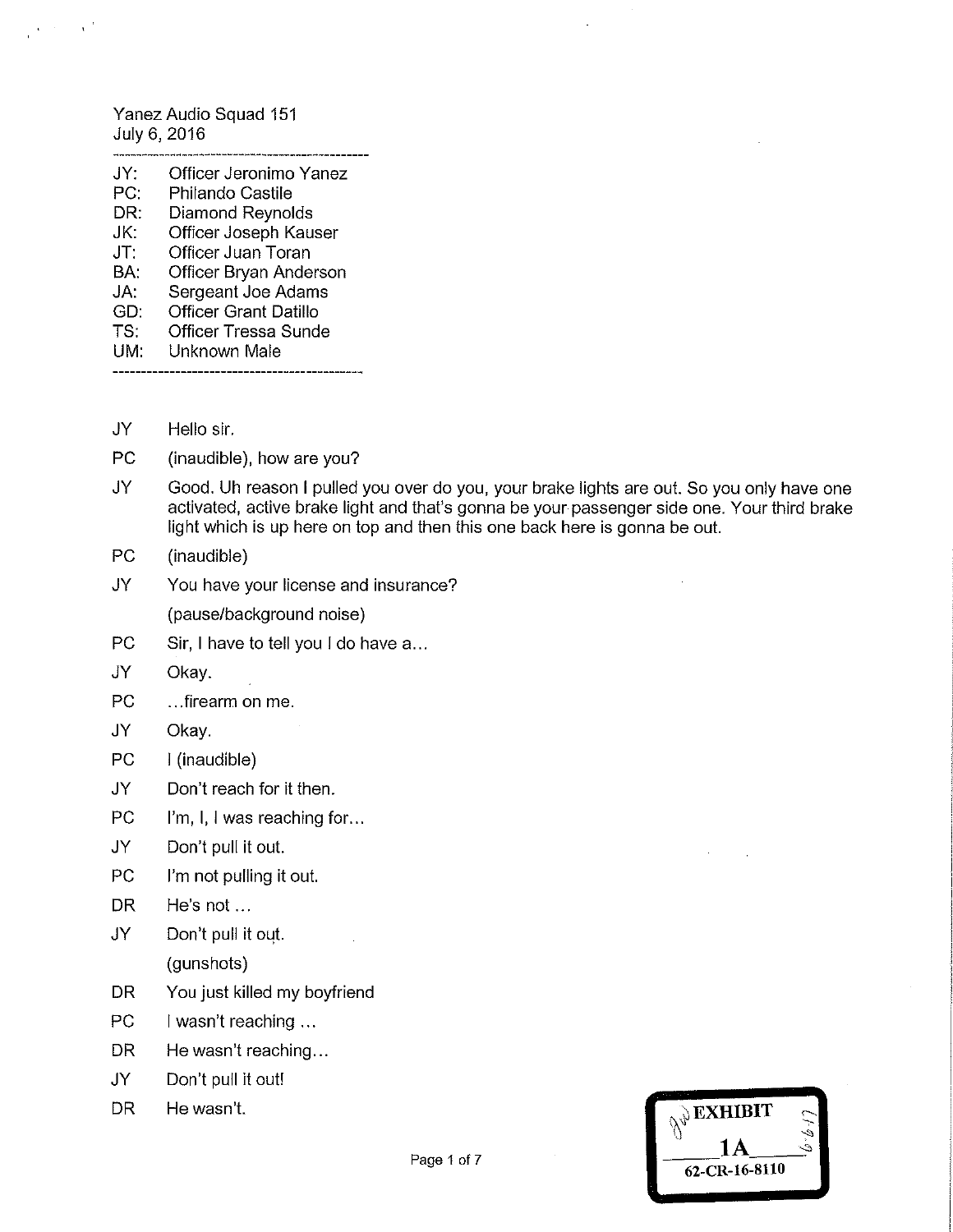Yanez Audio Squad 151 July 6, 2016

 $\mathcal{A}^{\text{max}}$  and  $\mathcal{A}^{\text{max}}$ 

| JY: | Officer Jeronimo Yanez       |
|-----|------------------------------|
| PC: | Philando Castile             |
| DR: | Diamond Reynolds             |
| JK: | Officer Joseph Kauser        |
| JT: | Officer Juan Toran           |
| BA: | Officer Bryan Anderson       |
| JA: | Sergeant Joe Adams           |
| GD. | <b>Officer Grant Datillo</b> |
| TS: | <b>Officer Tressa Sunde</b>  |
| UM: | Unknown Male                 |

JY Hello sir.

- PC (inaudible), how are you?
- JY Good. Uh reason I pulled you over do you, your brake lights are out. So you only have one activated, active brake light and that's gonna be your passenger side one. Your third brake light which is up here on top and then this one back here is gonna be out.
- PC (inaudible)
- JY You have your license and insurance?

(pause/background noise)

- PC Sir, I have to tell you I do have a...
- JY Okay.
- PC ...firearm on me.
- JY Okay.
- PC I (inaudible)
- JY Don't reach for it then.
- PC I'm, I, I was reaching for...
- JY Don't pull it out.
- PC I'm not pulling it out.
- DR He's not...
- JY Don't pull it out. (gunshots)
- DR You just killed my boyfriend
- PC I wasn't reaching ...
- DR He wasn't reaching...
- JY Don't pull it out!
- 

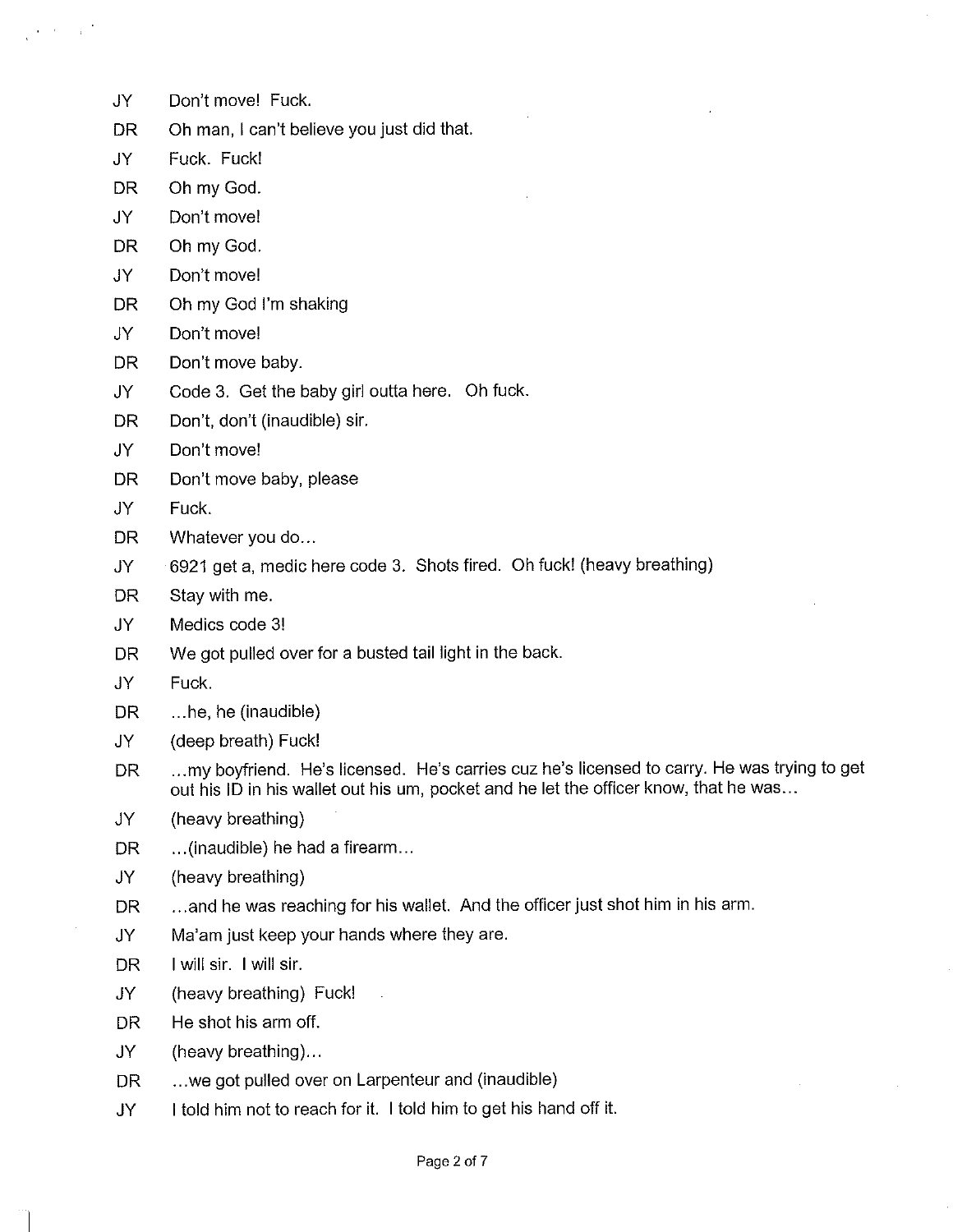- JY Don't move! Fuck.
- DR Oh man, I can't believe you just did that.
- JY Fuck. Fuck!
- DR Oh my God.
- JY Don't move!
- DR Oh my God.
- JY Don't move!
- DR Oh my God I'm shaking
- JY Don't move!
- DR Don't move baby.
- JY Code 3. Get the baby giri outta here. Oh fuck.
- DR Don't, don't (inaudible) sir.
- JY Don't move!
- DR Don't move baby, please
- JY Fuck.
- DR Whatever you do...
- JY 6921 get a, medic here code 3. Shots fired. Oh fuck! (heavy breathing)
- DR Stay with me.
- JY Medics code 3!
- DR We got pulled over for a busted tail light in the back.
- JY Fuck.
- DR ...he, he (inaudible)
- JY (deep breath) Fuck!
- DR ...my boyfriend. He's licensed. He's carries cuz he's licensed to carry. He was trying to get out his ID in his wallet out his um, pocket and he let the officer know, that he was...
- JY (heavy breathing)
- DR ...(inaudible) he had a firearm...
- JY (heavy breathing)
- DR ...and he was reaching for his wallet. And the officer just shot him in his arm.
- JY Ma'am just keep your hands where they are.
- DR I will sir. I will sir.
- JY (heavy breathing) Fuck!
- DR He shot his arm off.
- JY (heavy breathing)...
- DR ...we got pulled over on Larpenteur and (inaudible)
- JY I told him not to reach for it. I told him to get his hand off it.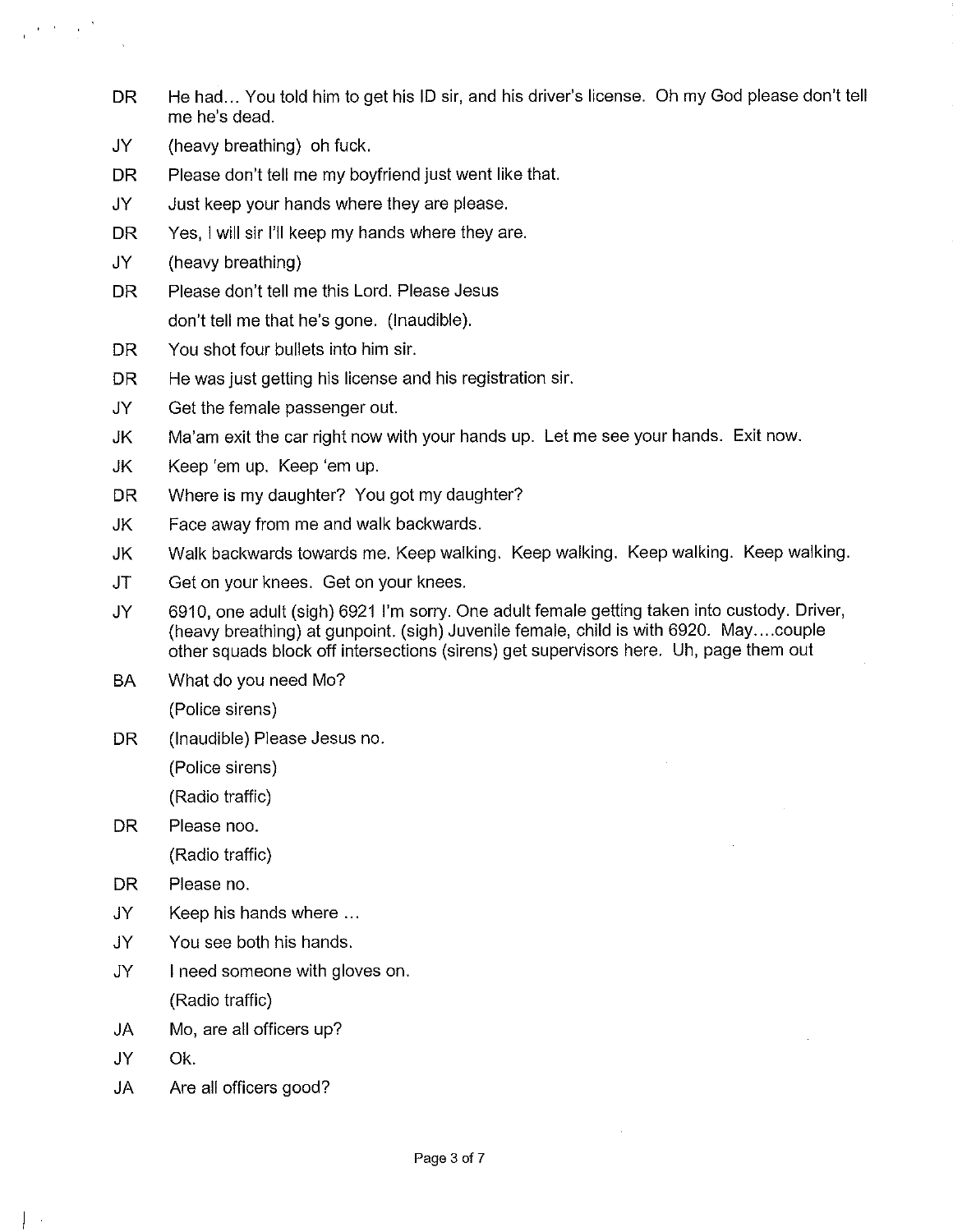- DR He had... You told him to get his ID sir, and his driver's license. Oh my God please don't tell me he's dead.
- JY (heavy breathing) oh fuck.
- DR Please don't tell me my boyfriend just went like that.
- JY Just keep your hands where they are please.
- DR Yes, I will sir I'll keep my hands where they are.
- JY (heavy breathing)

 $\epsilon = t_{\rm max}$ 

- DR Please don't tell me this Lord. Please Jesus don't tell me that he's gone. (inaudible).
- DR You shot four bullets into him sir.
- DR He was just getting his license and his registration sir.
- JY Get the female passenger out.
- JK Ma'am exit the car right now with your hands up. Let me see your hands. Exit now.
- JK Keep 'em up. Keep 'em up.
- DR Where is my daughter? You got my daughter?
- JK Face away from me and walk backwards.
- JK Walk backwards towards me. Keep walking. Keep walking. Keep walking. Keep walking.
- JT Get on your knees. Get on your knees.
- JY 6910, one adult (sigh) 6921 !'m sorry. One adult female getting taken into custody. Driver, (heavy breathing) at gunpoint. (sigh) Juvenile femaie, chiid is with 6920. May... .couple other squads block off intersections (sirens) get supervisors here. Uh, page them out
- BA What do you need Mo?

(Police sirens)

DR (Inaudible) Please Jesus no.

(Police sirens)

(Radio traffic)

DR Please noo.

(Radio traffic)

- DR Please no.
- JY Keep his hands where ...
- JY You see both his hands.
- JY I need someone with gloves on. (Radio traffic)
- JA Mo, are all officers up?
- JY Ok.
- JA Are all officers good?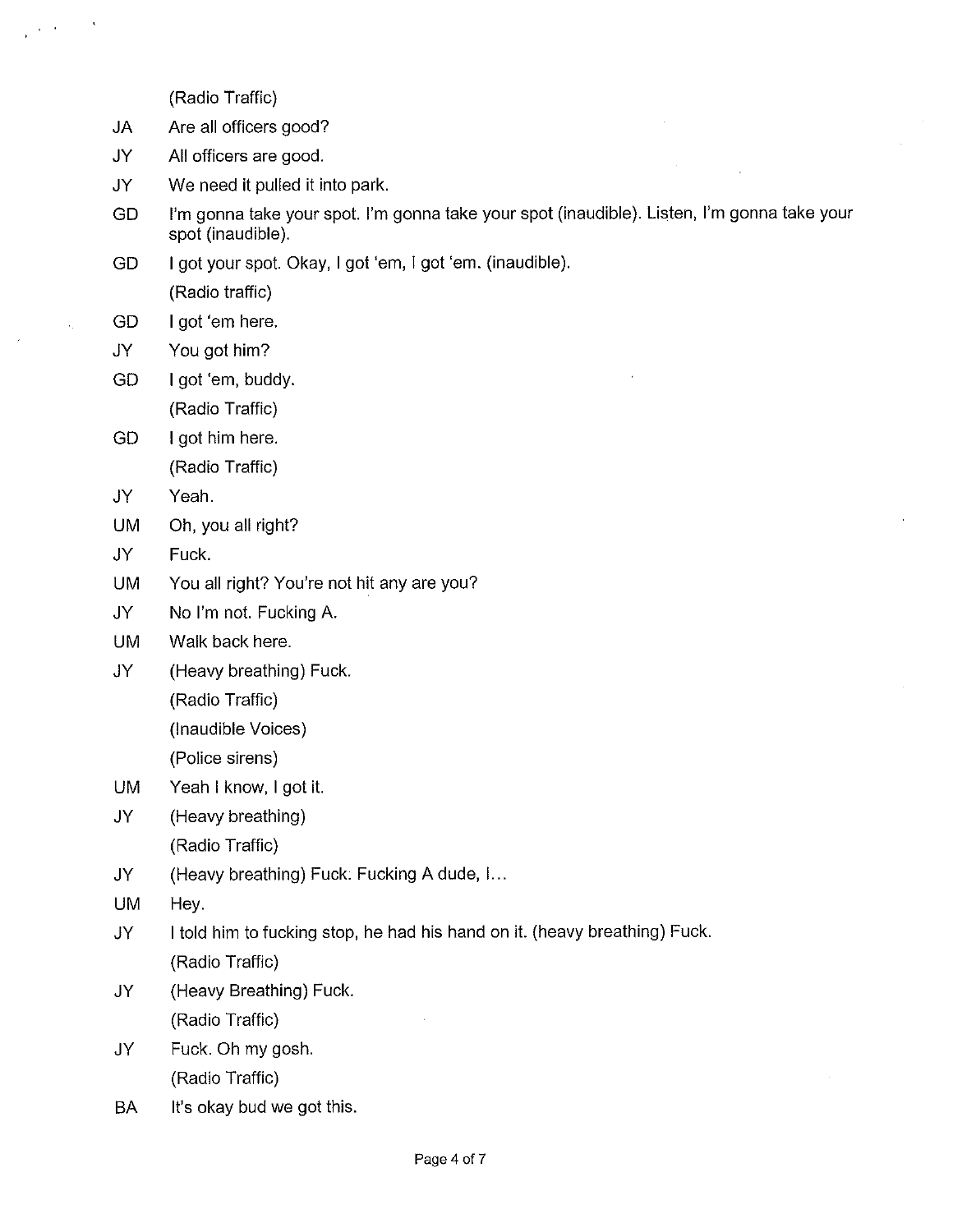(Radio Traffic)

- JA Are all officers good?
- JY Ail officers are good.
- JY We need it pulled it into park.
- GD I'm gonna take your spot. I'm gonna take your spot (inaudible). Listen, I'm gonna take your spot (inaudible).
- GD I got your spot. Okay, I got 'em, I got 'em. (inaudible). (Radio traffic)
- GD I got 'em here.
- JY You got him?
- GD I got 'em, buddy. (Radio Traffic)
- GD I got him here. (Radio Traffic)
- JY Yeah.
- UM Oh, you all right?
- JY Fuck.
- UM You all right? You're not hit any are you?
- JY No I'm not. Fucking A.
- UM Walk back here.
- JY (Heavy breathing) Fuck.
	- (Radio Traffic)
	- (inaudible Voices)
	- (Police sirens)
- UM Yeah I know, I got it.
- JY (Heavy breathing) (Radio Traffic)
- JY (Heavy breathing) Fuck. Fucking A dude, I...
- UM Hey.
- JY I told him to fucking stop, he had his hand on it. (heavy breathing) Fuck. (Radio Traffic)
- JY (Heavy Breathing) Fuck. (Radio Traffic)
- JY Fuck. Oh my gosh. (Radio Traffic)
- BA It's okay bud we got this.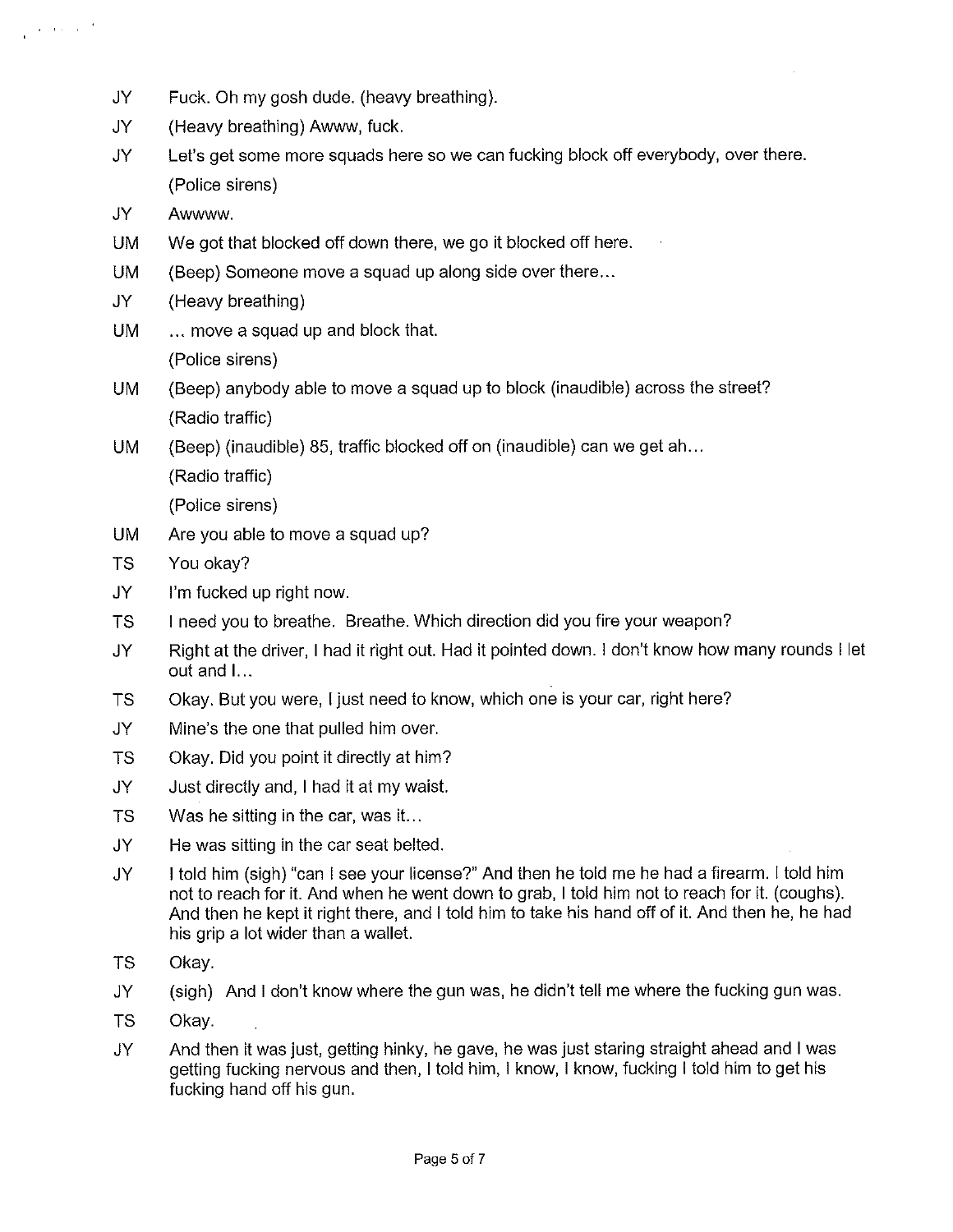- JY Fuck. Oh my gosh dude. (heavy breathing).
- JY (Heavy breathing) Awww, fuck.
- JY Let's get some more squads here so we can fucking biock off everybody, over there. (Police sirens)
- JY Awwww.
- UM We got that blocked off down there, we go it blocked off here.
- UM (Beep) Someone move a squad up along side over there...
- JY (Heavy breathing)
- UM ... move a squad up and block that. (Police sirens)
- UM (Beep) anybody able to move a squad up to block (inaudible) across the street? (Radio traffic)
- UM (Beep) (inaudible) 85, traffic blocked off on (inaudible) can we get ah...

(Radio traffic)

(Police sirens)

- UM Are you able to move a squad up?
- TS You okay?
- JY I'm fucked up right now.
- TS ! need you to breathe. Breathe. Which direction did you fire your weapon?
- JY Right at the driver, I had it right out. Had it pointed down. I don't know how many rounds I let out and I...
- TS Okay. But you were, I just need to know, which one is your car, right here?
- JY Mine's the one that pulied him over.
- TS Okay. Did you point it directly at him?
- JY Just directly and, I had it at my waist.
- TS Was he sitting in the car, was it...
- JY He was sitting in the car seat belted.
- JY I told him (sigh) "can I see your license?" And then he told me he had a firearm. I told him not to reach for it. And when he went down to grab, I told him not to reach for it. (coughs). And then he kept it right there, and I told him to take his hand off of it. And then he, he had his grip a lot wider than a wallet.
- TS Okay.
- JY (sigh) And I don't know where the gun was, he didn't tell me where the fucking gun was.
- TS Okay.
- JY And then it was just, getting hinky, he gave, he was just staring straight ahead and I was getting fucking nervous and then, I toid him, i know, I know, fucking i told him to get his fucking hand off his gun.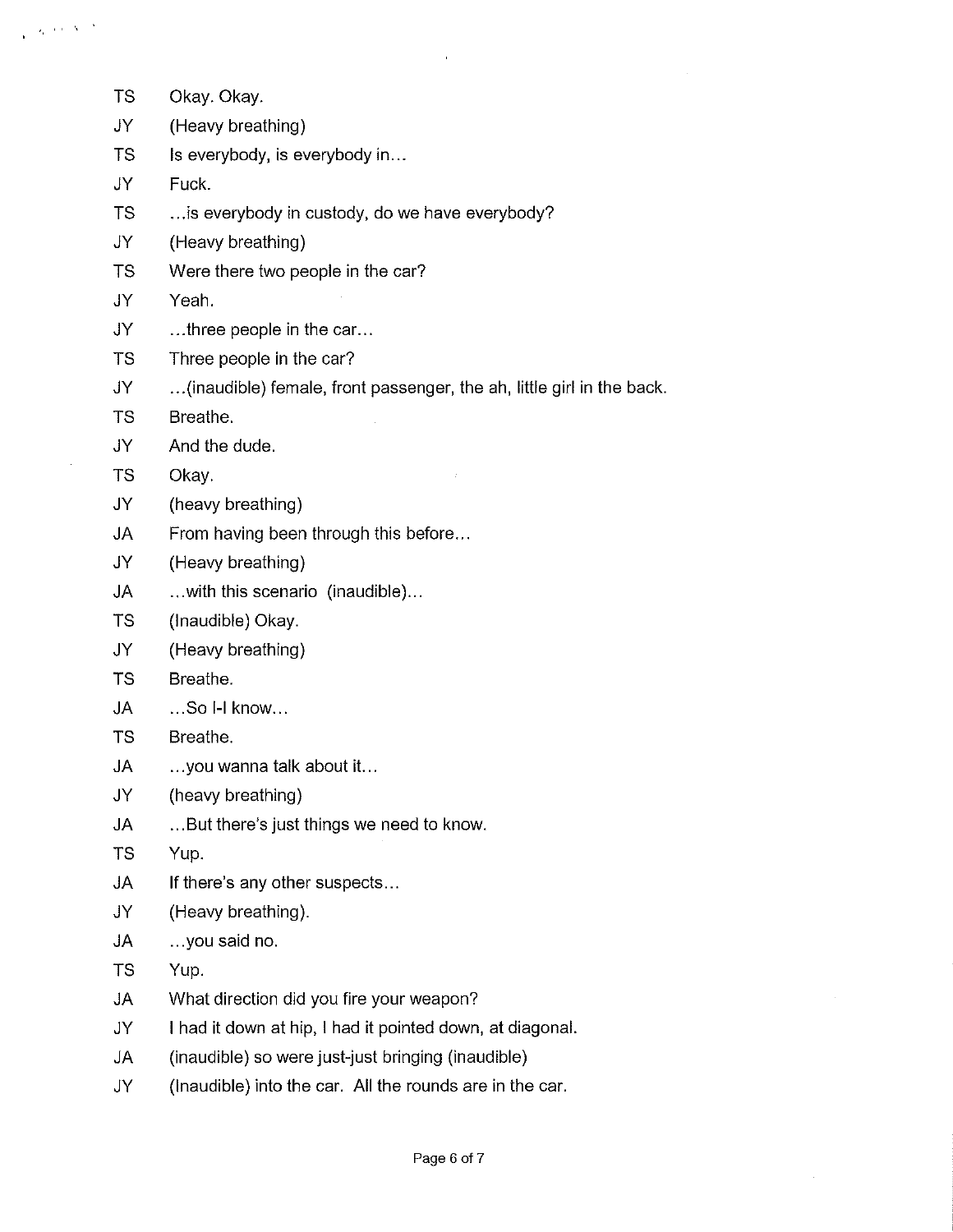$\chi_{\rm c}$  and  $\chi_{\rm c}$  .

- TS Okay. Okay. JY (Heavy breathing) TS Is everybody, is everybody in... JY Fuck. TS ...is everybody in custody, do we have everybody?
	- JY (Heavy breathing)
	- TS Were there two people in the car?
	- JY Yeah.
	- JY ...three people in the car...
	- TS Three people in the car?
	- JY ...(inaudible) female, front passenger, the ah, little giri in the back.
	- TS Breathe.
	- JY And the dude.
	- TS Okay.
	- JY (heavy breathing)
	- JA From having been through this before...
	- JY (Heavy breathing)
	- JA .. .with this scenario (inaudible)...
	- TS (Inaudible) Okay.
	- JY (Heavy breathing)
	- TS Breathe.
	- JA ...So I-I know...
	- TS Breathe.
	- JA ...you wanna talk about it...
	- JY (heavy breathing)
	- JA ... But there's just things we need to know.
	- TS Yup.
	- JA If there's any other suspects...
	- JY (Heavy breathing).
	- JA ...you said no.
	- TS Yup.
	- JA What direction did you fire your weapon?
	- JY I had it down at hip, I had it pointed down, at diagonal.
	- JA (inaudible) so were just-just bringing (inaudible)
	- JY (inaudible) into the car. All the rounds are in the car.